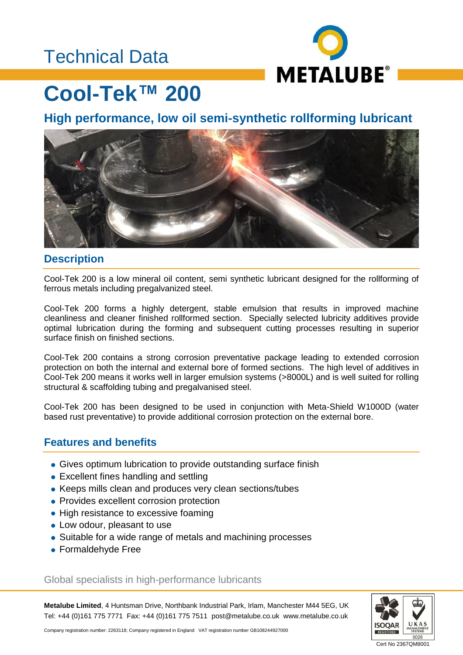## Technical Data



## **Cool-Tek™ 200**

**High performance, low oil semi-synthetic rollforming lubricant**



#### **Description**

Cool-Tek 200 is a low mineral oil content, semi synthetic lubricant designed for the rollforming of ferrous metals including pregalvanized steel.

Cool-Tek 200 forms a highly detergent, stable emulsion that results in improved machine cleanliness and cleaner finished rollformed section. Specially selected lubricity additives provide optimal lubrication during the forming and subsequent cutting processes resulting in superior surface finish on finished sections.

Cool-Tek 200 contains a strong corrosion preventative package leading to extended corrosion protection on both the internal and external bore of formed sections. The high level of additives in Cool-Tek 200 means it works well in larger emulsion systems (>8000L) and is well suited for rolling structural & scaffolding tubing and pregalvanised steel.

Cool-Tek 200 has been designed to be used in conjunction with Meta-Shield W1000D (water based rust preventative) to provide additional corrosion protection on the external bore.

#### **Features and benefits**

- Gives optimum lubrication to provide outstanding surface finish
- Excellent fines handling and settling
- Keeps mills clean and produces very clean sections/tubes
- Provides excellent corrosion protection
- High resistance to excessive foaming
- Low odour, pleasant to use
- Suitable for a wide range of metals and machining processes
- Formaldehyde Free

Global specialists in high-performance lubricants

**Metalube Limited**, 4 Huntsman Drive, Northbank Industrial Park, Irlam, Manchester M44 5EG, UK Tel: +44 (0)161 775 7771 Fax: +44 (0)161 775 7511 post@metalube.co.uk www.metalube.co.uk



Company registration number: 2263118; Company registered in England VAT registration number GB108244927000

Cert No 2367QM8001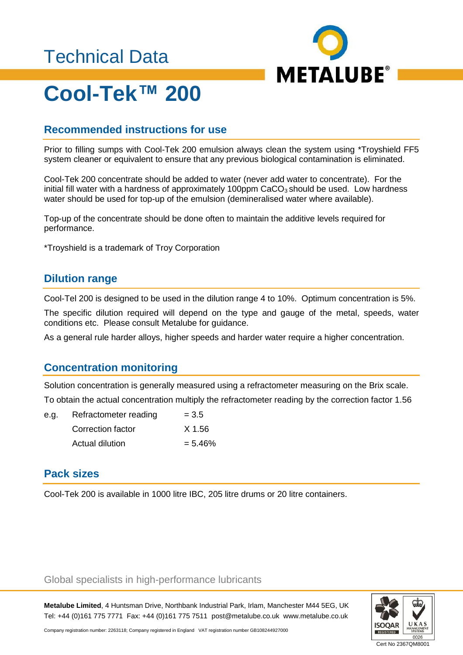## Technical Data



# **Cool-Tek™ 200**

### **Recommended instructions for use**

Prior to filling sumps with Cool-Tek 200 emulsion always clean the system using \*Troyshield FF5 system cleaner or equivalent to ensure that any previous biological contamination is eliminated.

Cool-Tek 200 concentrate should be added to water (never add water to concentrate). For the initial fill water with a hardness of approximately 100ppm  $CaCO<sub>3</sub>$  should be used. Low hardness water should be used for top-up of the emulsion (demineralised water where available).

Top-up of the concentrate should be done often to maintain the additive levels required for performance.

\*Troyshield is a trademark of Troy Corporation

#### **Dilution range**

Cool-Tel 200 is designed to be used in the dilution range 4 to 10%. Optimum concentration is 5%.

The specific dilution required will depend on the type and gauge of the metal, speeds, water conditions etc. Please consult Metalube for guidance.

As a general rule harder alloys, higher speeds and harder water require a higher concentration.

### **Concentration monitoring**

Solution concentration is generally measured using a refractometer measuring on the Brix scale. To obtain the actual concentration multiply the refractometer reading by the correction factor 1.56

| e.g. Refractometer reading | $= 3.5$ |
|----------------------------|---------|
| Correction factor          | X 1.56  |

#### $Actual$  dilution  $= 5.46\%$

### **Pack sizes**

Cool-Tek 200 is available in 1000 litre IBC, 205 litre drums or 20 litre containers.

#### Global specialists in high-performance lubricants

**Metalube Limited**, 4 Huntsman Drive, Northbank Industrial Park, Irlam, Manchester M44 5EG, UK Tel: +44 (0)161 775 7771 Fax: +44 (0)161 775 7511 post@metalube.co.uk www.metalube.co.uk



Company registration number: 2263118; Company registered in England VAT registration number GB108244927000